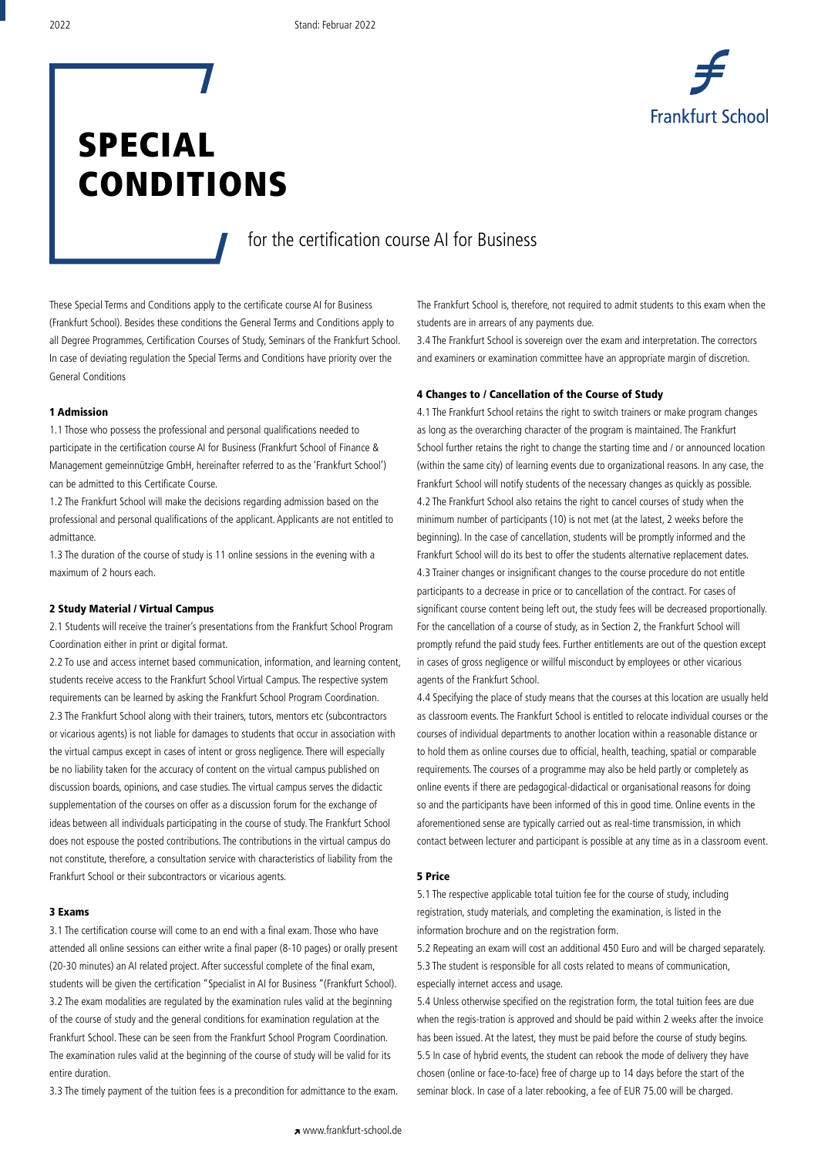

# SPECIAL CONDITIONS

### for the certification course AI for Business

These Special Terms and Conditions apply to the certificate course AI for Business (Frankfurt School). Besides these conditions the General Terms and Conditions apply to all Degree Programmes, Certification Courses of Study, Seminars of the Frankfurt School. In case of deviating regulation the Special Terms and Conditions have priority over the General Conditions

#### 1 Admission

1.1 Those who possess the professional and personal qualifications needed to participate in the certification course AI for Business (Frankfurt School of Finance & Management gemeinnützige GmbH, hereinafter referred to as the 'Frankfurt School') can be admitted to this Certificate Course.

1.2 The Frankfurt School will make the decisions regarding admission based on the professional and personal qualifications of the applicant. Applicants are not entitled to admittance.

1.3 The duration of the course of study is 11 online sessions in the evening with a maximum of 2 hours each.

#### 2 Study Material / Virtual Campus

2.1 Students will receive the trainer's presentations from the Frankfurt School Program Coordination either in print or digital format.

2.2 To use and access internet based communication, information, and learning content, students receive access to the Frankfurt School Virtual Campus. The respective system requirements can be learned by asking the Frankfurt School Program Coordination. 2.3 The Frankfurt School along with their trainers, tutors, mentors etc (subcontractors or vicarious agents) is not liable for damages to students that occur in association with the virtual campus except in cases of intent or gross negligence. There will especially be no liability taken for the accuracy of content on the virtual campus published on discussion boards, opinions, and case studies. The virtual campus serves the didactic supplementation of the courses on offer as a discussion forum for the exchange of ideas between all individuals participating in the course of study. The Frankfurt School does not espouse the posted contributions. The contributions in the virtual campus do not constitute, therefore, a consultation service with characteristics of liability from the Frankfurt School or their subcontractors or vicarious agents.

#### 3 Exams

3.1 The certification course will come to an end with a final exam. Those who have attended all online sessions can either write a final paper (8-10 pages) or orally present (20-30 minutes) an AI related project. After successful complete of the final exam, students will be given the certification "Specialist in AI for Business "(Frankfurt School). 3.2 The exam modalities are regulated by the examination rules valid at the beginning of the course of study and the general conditions for examination regulation at the Frankfurt School. These can be seen from the Frankfurt School Program Coordination. The examination rules valid at the beginning of the course of study will be valid for its entire duration.

3.3 The timely payment of the tuition fees is a precondition for admittance to the exam.

The Frankfurt School is, therefore, not required to admit students to this exam when the students are in arrears of any payments due.

3.4 The Frankfurt School is sovereign over the exam and interpretation. The correctors and examiners or examination committee have an appropriate margin of discretion.

#### 4 Changes to / Cancellation of the Course of Study

4.1 The Frankfurt School retains the right to switch trainers or make program changes as long as the overarching character of the program is maintained. The Frankfurt School further retains the right to change the starting time and / or announced location (within the same city) of learning events due to organizational reasons. In any case, the Frankfurt School will notify students of the necessary changes as quickly as possible. 4.2 The Frankfurt School also retains the right to cancel courses of study when the minimum number of participants (10) is not met (at the latest, 2 weeks before the beginning). In the case of cancellation, students will be promptly informed and the Frankfurt School will do its best to offer the students alternative replacement dates. 4.3 Trainer changes or insignificant changes to the course procedure do not entitle participants to a decrease in price or to cancellation of the contract. For cases of significant course content being left out, the study fees will be decreased proportionally. For the cancellation of a course of study, as in Section 2, the Frankfurt School will promptly refund the paid study fees. Further entitlements are out of the question except in cases of gross negligence or willful misconduct by employees or other vicarious agents of the Frankfurt School.

4.4 Specifying the place of study means that the courses at this location are usually held as classroom events. The Frankfurt School is entitled to relocate individual courses or the courses of individual departments to another location within a reasonable distance or to hold them as online courses due to official, health, teaching, spatial or comparable requirements. The courses of a programme may also be held partly or completely as online events if there are pedagogical-didactical or organisational reasons for doing so and the participants have been informed of this in good time. Online events in the aforementioned sense are typically carried out as real-time transmission, in which contact between lecturer and participant is possible at any time as in a classroom event.

#### 5 Price

5.1 The respective applicable total tuition fee for the course of study, including registration, study materials, and completing the examination, is listed in the information brochure and on the registration form.

5.2 Repeating an exam will cost an additional 450 Euro and will be charged separately. 5.3 The student is responsible for all costs related to means of communication, especially internet access and usage.

5.4 Unless otherwise specified on the registration form, the total tuition fees are due when the regis-tration is approved and should be paid within 2 weeks after the invoice has been issued. At the latest, they must be paid before the course of study begins. 5.5 In case of hybrid events, the student can rebook the mode of delivery they have chosen (online or face-to-face) free of charge up to 14 days before the start of the seminar block. In case of a later rebooking, a fee of EUR 75.00 will be charged.